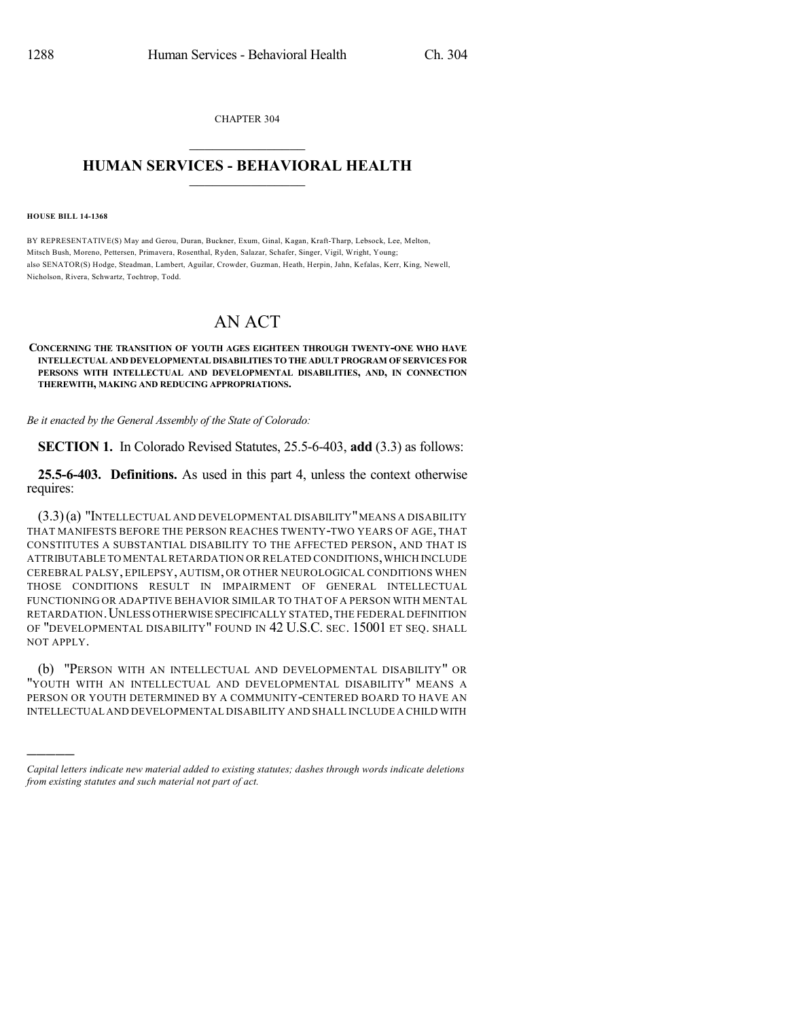CHAPTER 304  $\mathcal{L}_\text{max}$  . The set of the set of the set of the set of the set of the set of the set of the set of the set of the set of the set of the set of the set of the set of the set of the set of the set of the set of the set

## **HUMAN SERVICES - BEHAVIORAL HEALTH**  $\frac{1}{2}$  ,  $\frac{1}{2}$  ,  $\frac{1}{2}$  ,  $\frac{1}{2}$  ,  $\frac{1}{2}$  ,  $\frac{1}{2}$  ,  $\frac{1}{2}$

**HOUSE BILL 14-1368**

)))))

BY REPRESENTATIVE(S) May and Gerou, Duran, Buckner, Exum, Ginal, Kagan, Kraft-Tharp, Lebsock, Lee, Melton, Mitsch Bush, Moreno, Pettersen, Primavera, Rosenthal, Ryden, Salazar, Schafer, Singer, Vigil, Wright, Young; also SENATOR(S) Hodge, Steadman, Lambert, Aguilar, Crowder, Guzman, Heath, Herpin, Jahn, Kefalas, Kerr, King, Newell, Nicholson, Rivera, Schwartz, Tochtrop, Todd.

## AN ACT

## **CONCERNING THE TRANSITION OF YOUTH AGES EIGHTEEN THROUGH TWENTY-ONE WHO HAVE INTELLECTUAL AND DEVELOPMENTAL DISABILITIES TO THE ADULT PROGRAM OF SERVICES FOR PERSONS WITH INTELLECTUAL AND DEVELOPMENTAL DISABILITIES, AND, IN CONNECTION THEREWITH, MAKING AND REDUCING APPROPRIATIONS.**

*Be it enacted by the General Assembly of the State of Colorado:*

**SECTION 1.** In Colorado Revised Statutes, 25.5-6-403, **add** (3.3) as follows:

**25.5-6-403. Definitions.** As used in this part 4, unless the context otherwise requires:

 $(3.3)(a)$  "Intellectual and developmental disability" means a disability THAT MANIFESTS BEFORE THE PERSON REACHES TWENTY-TWO YEARS OF AGE, THAT CONSTITUTES A SUBSTANTIAL DISABILITY TO THE AFFECTED PERSON, AND THAT IS ATTRIBUTABLE TO MENTAL RETARDATION OR RELATED CONDITIONS,WHICH INCLUDE CEREBRAL PALSY, EPILEPSY, AUTISM, OR OTHER NEUROLOGICAL CONDITIONS WHEN THOSE CONDITIONS RESULT IN IMPAIRMENT OF GENERAL INTELLECTUAL FUNCTIONING OR ADAPTIVE BEHAVIOR SIMILAR TO THAT OF A PERSON WITH MENTAL RETARDATION.UNLESS OTHERWISE SPECIFICALLY STATED,THE FEDERAL DEFINITION OF "DEVELOPMENTAL DISABILITY" FOUND IN 42 U.S.C. SEC. 15001 ET SEQ. SHALL NOT APPLY.

(b) "PERSON WITH AN INTELLECTUAL AND DEVELOPMENTAL DISABILITY" OR "YOUTH WITH AN INTELLECTUAL AND DEVELOPMENTAL DISABILITY" MEANS A PERSON OR YOUTH DETERMINED BY A COMMUNITY-CENTERED BOARD TO HAVE AN INTELLECTUAL AND DEVELOPMENTAL DISABILITY AND SHALL INCLUDE A CHILD WITH

*Capital letters indicate new material added to existing statutes; dashes through words indicate deletions from existing statutes and such material not part of act.*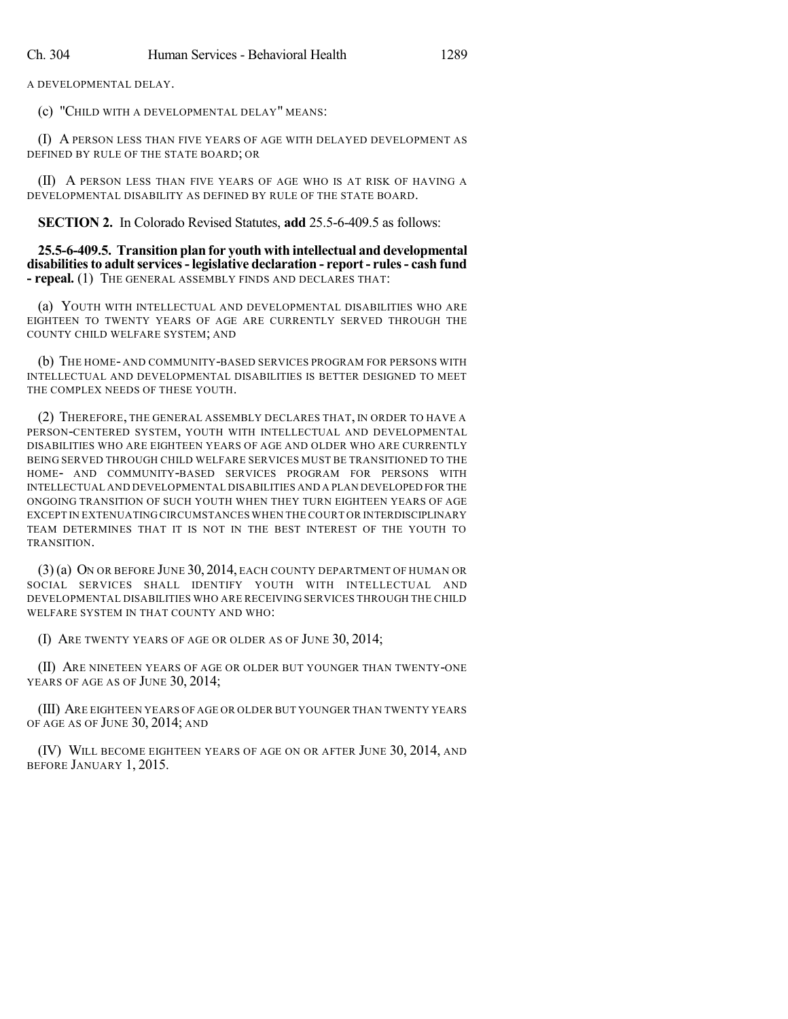A DEVELOPMENTAL DELAY.

(c) "CHILD WITH A DEVELOPMENTAL DELAY" MEANS:

(I) A PERSON LESS THAN FIVE YEARS OF AGE WITH DELAYED DEVELOPMENT AS DEFINED BY RULE OF THE STATE BOARD; OR

(II) A PERSON LESS THAN FIVE YEARS OF AGE WHO IS AT RISK OF HAVING A DEVELOPMENTAL DISABILITY AS DEFINED BY RULE OF THE STATE BOARD.

**SECTION 2.** In Colorado Revised Statutes, **add** 25.5-6-409.5 as follows:

**25.5-6-409.5. Transition plan for youth with intellectual and developmental disabilitiesto adultservices-legislative declaration - report- rules- cash fund - repeal.** (1) THE GENERAL ASSEMBLY FINDS AND DECLARES THAT:

(a) YOUTH WITH INTELLECTUAL AND DEVELOPMENTAL DISABILITIES WHO ARE EIGHTEEN TO TWENTY YEARS OF AGE ARE CURRENTLY SERVED THROUGH THE COUNTY CHILD WELFARE SYSTEM; AND

(b) THE HOME- AND COMMUNITY-BASED SERVICES PROGRAM FOR PERSONS WITH INTELLECTUAL AND DEVELOPMENTAL DISABILITIES IS BETTER DESIGNED TO MEET THE COMPLEX NEEDS OF THESE YOUTH.

(2) THEREFORE, THE GENERAL ASSEMBLY DECLARES THAT, IN ORDER TO HAVE A PERSON-CENTERED SYSTEM, YOUTH WITH INTELLECTUAL AND DEVELOPMENTAL DISABILITIES WHO ARE EIGHTEEN YEARS OF AGE AND OLDER WHO ARE CURRENTLY BEING SERVED THROUGH CHILD WELFARE SERVICES MUST BE TRANSITIONED TO THE HOME- AND COMMUNITY-BASED SERVICES PROGRAM FOR PERSONS WITH INTELLECTUAL AND DEVELOPMENTAL DISABILITIES AND A PLAN DEVELOPED FOR THE ONGOING TRANSITION OF SUCH YOUTH WHEN THEY TURN EIGHTEEN YEARS OF AGE EXCEPT IN EXTENUATING CIRCUMSTANCES WHEN THE COURT OR INTERDISCIPLINARY TEAM DETERMINES THAT IT IS NOT IN THE BEST INTEREST OF THE YOUTH TO TRANSITION.

(3) (a) ON OR BEFORE JUNE 30, 2014, EACH COUNTY DEPARTMENT OF HUMAN OR SOCIAL SERVICES SHALL IDENTIFY YOUTH WITH INTELLECTUAL AND DEVELOPMENTAL DISABILITIES WHO ARE RECEIVING SERVICES THROUGH THE CHILD WELFARE SYSTEM IN THAT COUNTY AND WHO:

(I) ARE TWENTY YEARS OF AGE OR OLDER AS OF JUNE 30, 2014;

(II) ARE NINETEEN YEARS OF AGE OR OLDER BUT YOUNGER THAN TWENTY-ONE YEARS OF AGE AS OF JUNE 30, 2014;

(III) ARE EIGHTEEN YEARS OF AGE OR OLDER BUT YOUNGER THAN TWENTY YEARS OF AGE AS OF JUNE 30, 2014; AND

(IV) WILL BECOME EIGHTEEN YEARS OF AGE ON OR AFTER JUNE 30, 2014, AND BEFORE JANUARY 1, 2015.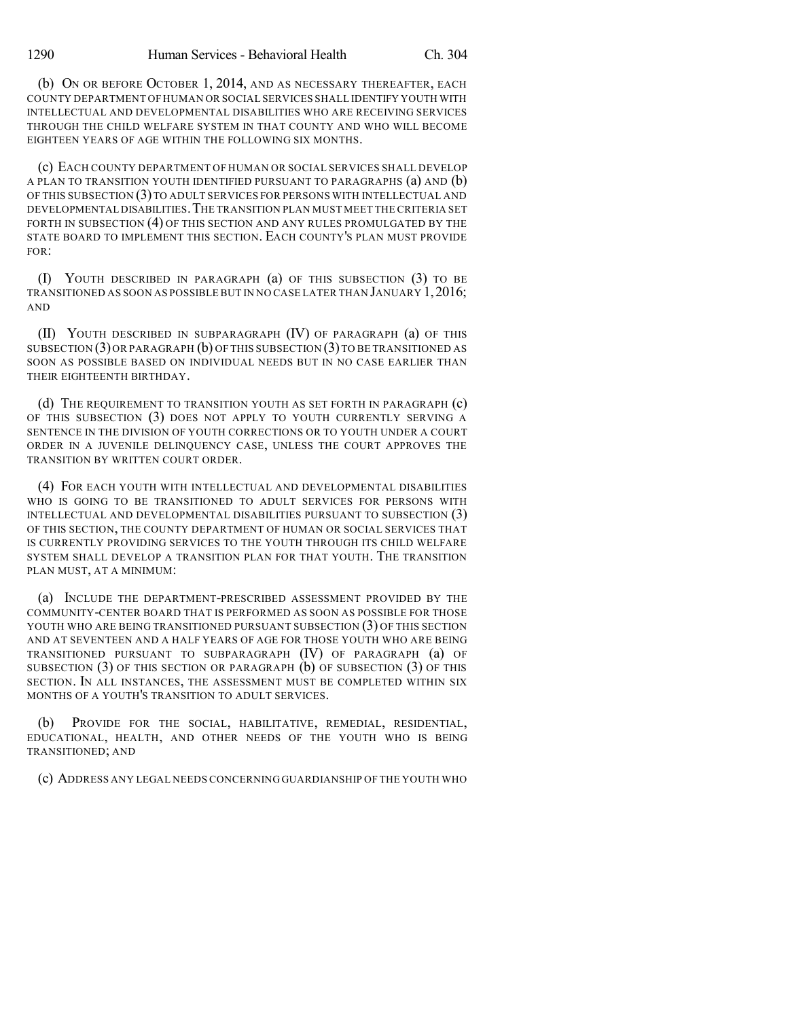(b) ON OR BEFORE OCTOBER 1, 2014, AND AS NECESSARY THEREAFTER, EACH COUNTY DEPARTMENT OF HUMAN OR SOCIAL SERVICES SHALL IDENTIFY YOUTH WITH INTELLECTUAL AND DEVELOPMENTAL DISABILITIES WHO ARE RECEIVING SERVICES THROUGH THE CHILD WELFARE SYSTEM IN THAT COUNTY AND WHO WILL BECOME EIGHTEEN YEARS OF AGE WITHIN THE FOLLOWING SIX MONTHS.

(c) EACH COUNTY DEPARTMENT OF HUMAN OR SOCIAL SERVICES SHALL DEVELOP A PLAN TO TRANSITION YOUTH IDENTIFIED PURSUANT TO PARAGRAPHS (a) AND (b) OF THIS SUBSECTION (3)TO ADULT SERVICES FOR PERSONS WITH INTELLECTUAL AND DEVELOPMENTAL DISABILITIES.THE TRANSITION PLAN MUST MEET THE CRITERIA SET FORTH IN SUBSECTION (4) OF THIS SECTION AND ANY RULES PROMULGATED BY THE STATE BOARD TO IMPLEMENT THIS SECTION. EACH COUNTY'S PLAN MUST PROVIDE FOR:

(I) YOUTH DESCRIBED IN PARAGRAPH (a) OF THIS SUBSECTION (3) TO BE TRANSITIONED AS SOON AS POSSIBLE BUT IN NO CASE LATER THAN JANUARY 1,2016; AND

(II) YOUTH DESCRIBED IN SUBPARAGRAPH (IV) OF PARAGRAPH (a) OF THIS SUBSECTION (3)OR PARAGRAPH (b) OF THIS SUBSECTION (3)TO BE TRANSITIONED AS SOON AS POSSIBLE BASED ON INDIVIDUAL NEEDS BUT IN NO CASE EARLIER THAN THEIR EIGHTEENTH BIRTHDAY.

(d) THE REQUIREMENT TO TRANSITION YOUTH AS SET FORTH IN PARAGRAPH (c) OF THIS SUBSECTION (3) DOES NOT APPLY TO YOUTH CURRENTLY SERVING A SENTENCE IN THE DIVISION OF YOUTH CORRECTIONS OR TO YOUTH UNDER A COURT ORDER IN A JUVENILE DELINQUENCY CASE, UNLESS THE COURT APPROVES THE TRANSITION BY WRITTEN COURT ORDER.

(4) FOR EACH YOUTH WITH INTELLECTUAL AND DEVELOPMENTAL DISABILITIES WHO IS GOING TO BE TRANSITIONED TO ADULT SERVICES FOR PERSONS WITH INTELLECTUAL AND DEVELOPMENTAL DISABILITIES PURSUANT TO SUBSECTION (3) OF THIS SECTION, THE COUNTY DEPARTMENT OF HUMAN OR SOCIAL SERVICES THAT IS CURRENTLY PROVIDING SERVICES TO THE YOUTH THROUGH ITS CHILD WELFARE SYSTEM SHALL DEVELOP A TRANSITION PLAN FOR THAT YOUTH. THE TRANSITION PLAN MUST, AT A MINIMUM:

(a) INCLUDE THE DEPARTMENT-PRESCRIBED ASSESSMENT PROVIDED BY THE COMMUNITY-CENTER BOARD THAT IS PERFORMED AS SOON AS POSSIBLE FOR THOSE YOUTH WHO ARE BEING TRANSITIONED PURSUANT SUBSECTION (3) OF THIS SECTION AND AT SEVENTEEN AND A HALF YEARS OF AGE FOR THOSE YOUTH WHO ARE BEING TRANSITIONED PURSUANT TO SUBPARAGRAPH (IV) OF PARAGRAPH (a) OF SUBSECTION (3) OF THIS SECTION OR PARAGRAPH (b) OF SUBSECTION (3) OF THIS SECTION. IN ALL INSTANCES, THE ASSESSMENT MUST BE COMPLETED WITHIN SIX MONTHS OF A YOUTH'S TRANSITION TO ADULT SERVICES.

PROVIDE FOR THE SOCIAL, HABILITATIVE, REMEDIAL, RESIDENTIAL, EDUCATIONAL, HEALTH, AND OTHER NEEDS OF THE YOUTH WHO IS BEING TRANSITIONED; AND

(c) ADDRESS ANY LEGAL NEEDS CONCERNING GUARDIANSHIP OF THE YOUTH WHO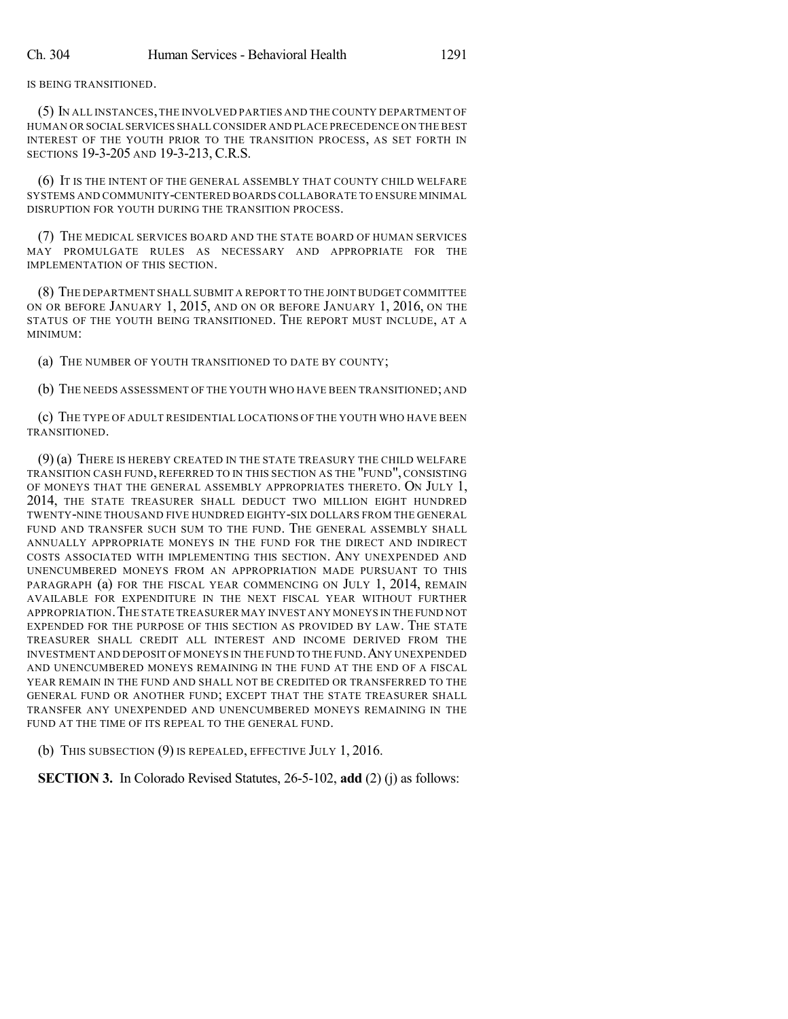IS BEING TRANSITIONED.

(5) IN ALL INSTANCES,THE INVOLVED PARTIES AND THE COUNTY DEPARTMENT OF HUMAN OR SOCIAL SERVICES SHALL CONSIDER AND PLACE PRECEDENCE ON THE BEST INTEREST OF THE YOUTH PRIOR TO THE TRANSITION PROCESS, AS SET FORTH IN SECTIONS 19-3-205 AND 19-3-213, C.R.S.

(6) IT IS THE INTENT OF THE GENERAL ASSEMBLY THAT COUNTY CHILD WELFARE SYSTEMS AND COMMUNITY-CENTERED BOARDS COLLABORATE TO ENSURE MINIMAL DISRUPTION FOR YOUTH DURING THE TRANSITION PROCESS.

(7) THE MEDICAL SERVICES BOARD AND THE STATE BOARD OF HUMAN SERVICES MAY PROMULGATE RULES AS NECESSARY AND APPROPRIATE FOR THE IMPLEMENTATION OF THIS SECTION.

(8) THE DEPARTMENT SHALL SUBMIT A REPORT TO THE JOINT BUDGET COMMITTEE ON OR BEFORE JANUARY 1, 2015, AND ON OR BEFORE JANUARY 1, 2016, ON THE STATUS OF THE YOUTH BEING TRANSITIONED. THE REPORT MUST INCLUDE, AT A MINIMUM:

(a) THE NUMBER OF YOUTH TRANSITIONED TO DATE BY COUNTY;

(b) THE NEEDS ASSESSMENT OF THE YOUTH WHO HAVE BEEN TRANSITIONED; AND

(c) THE TYPE OF ADULT RESIDENTIAL LOCATIONS OF THE YOUTH WHO HAVE BEEN TRANSITIONED.

(9) (a) THERE IS HEREBY CREATED IN THE STATE TREASURY THE CHILD WELFARE TRANSITION CASH FUND, REFERRED TO IN THIS SECTION AS THE "FUND", CONSISTING OF MONEYS THAT THE GENERAL ASSEMBLY APPROPRIATES THERETO. ON JULY 1, 2014, THE STATE TREASURER SHALL DEDUCT TWO MILLION EIGHT HUNDRED TWENTY-NINE THOUSAND FIVE HUNDRED EIGHTY-SIX DOLLARS FROM THE GENERAL FUND AND TRANSFER SUCH SUM TO THE FUND. THE GENERAL ASSEMBLY SHALL ANNUALLY APPROPRIATE MONEYS IN THE FUND FOR THE DIRECT AND INDIRECT COSTS ASSOCIATED WITH IMPLEMENTING THIS SECTION. ANY UNEXPENDED AND UNENCUMBERED MONEYS FROM AN APPROPRIATION MADE PURSUANT TO THIS PARAGRAPH (a) FOR THE FISCAL YEAR COMMENCING ON JULY 1, 2014, REMAIN AVAILABLE FOR EXPENDITURE IN THE NEXT FISCAL YEAR WITHOUT FURTHER APPROPRIATION.THE STATE TREASURER MAY INVEST ANY MONEYS IN THE FUND NOT EXPENDED FOR THE PURPOSE OF THIS SECTION AS PROVIDED BY LAW. THE STATE TREASURER SHALL CREDIT ALL INTEREST AND INCOME DERIVED FROM THE INVESTMENT AND DEPOSIT OF MONEYS IN THE FUND TO THE FUND.ANY UNEXPENDED AND UNENCUMBERED MONEYS REMAINING IN THE FUND AT THE END OF A FISCAL YEAR REMAIN IN THE FUND AND SHALL NOT BE CREDITED OR TRANSFERRED TO THE GENERAL FUND OR ANOTHER FUND; EXCEPT THAT THE STATE TREASURER SHALL TRANSFER ANY UNEXPENDED AND UNENCUMBERED MONEYS REMAINING IN THE FUND AT THE TIME OF ITS REPEAL TO THE GENERAL FUND.

(b) THIS SUBSECTION (9) IS REPEALED, EFFECTIVE JULY 1, 2016.

**SECTION 3.** In Colorado Revised Statutes, 26-5-102, **add** (2) (j) as follows: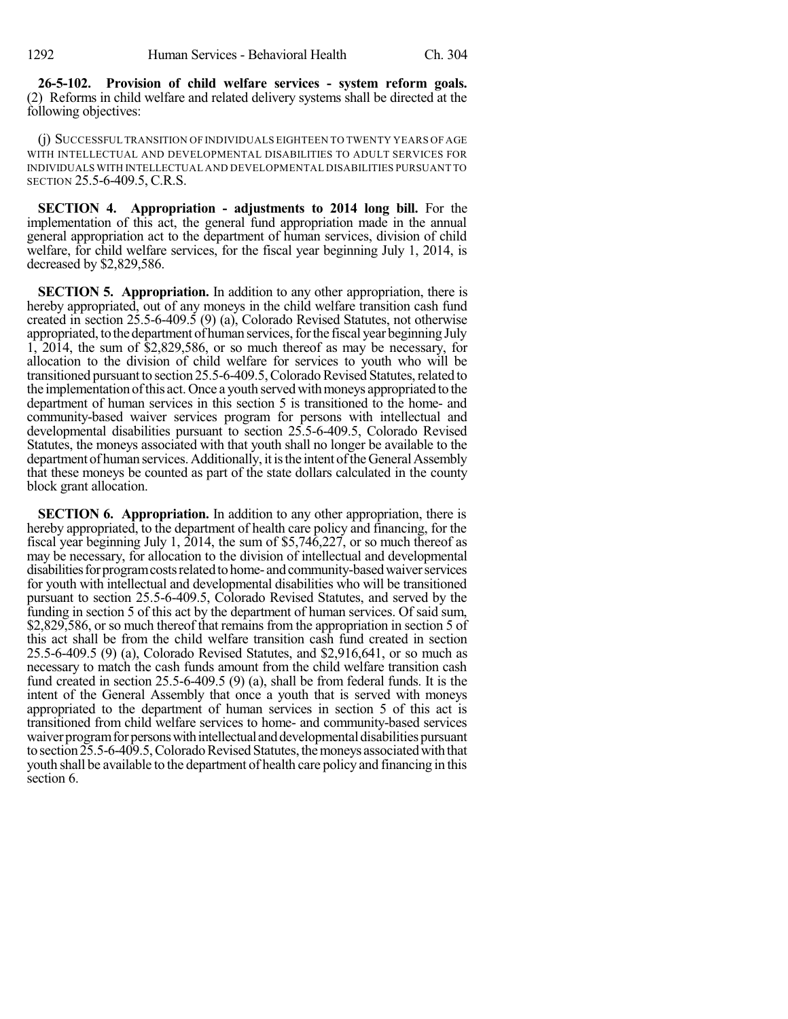**26-5-102. Provision of child welfare services - system reform goals.** (2) Reforms in child welfare and related delivery systems shall be directed at the following objectives:

(j) SUCCESSFUL TRANSITION OF INDIVIDUALS EIGHTEEN TO TWENTY YEARS OF AGE WITH INTELLECTUAL AND DEVELOPMENTAL DISABILITIES TO ADULT SERVICES FOR INDIVIDUALS WITH INTELLECTUAL AND DEVELOPMENTAL DISABILITIES PURSUANT TO SECTION 25.5-6-409.5, C.R.S.

**SECTION 4. Appropriation - adjustments to 2014 long bill.** For the implementation of this act, the general fund appropriation made in the annual general appropriation act to the department of human services, division of child welfare, for child welfare services, for the fiscal year beginning July 1, 2014, is decreased by \$2,829,586.

**SECTION 5. Appropriation.** In addition to any other appropriation, there is hereby appropriated, out of any moneys in the child welfare transition cash fund created in section 25.5-6-409.5 (9) (a), Colorado Revised Statutes, not otherwise appropriated, to the department of human services, for the fiscal year beginning July 1, 2014, the sum of \$2,829,586, or so much thereof as may be necessary, for allocation to the division of child welfare for services to youth who will be transitioned pursuant to section 25.5-6-409.5, Colorado Revised Statutes, related to the implementation of this act. Once a youth served with moneys appropriated to the department of human services in this section 5 is transitioned to the home- and community-based waiver services program for persons with intellectual and developmental disabilities pursuant to section 25.5-6-409.5, Colorado Revised Statutes, the moneys associated with that youth shall no longer be available to the department of human services. Additionally, it is the intent of the General Assembly that these moneys be counted as part of the state dollars calculated in the county block grant allocation.

**SECTION 6. Appropriation.** In addition to any other appropriation, there is hereby appropriated, to the department of health care policy and financing, for the fiscal year beginning July 1, 2014, the sum of \$5,746,227, or so much thereof as may be necessary, for allocation to the division of intellectual and developmental disabilities for program costs related to home- and community-based waiver services for youth with intellectual and developmental disabilities who will be transitioned pursuant to section 25.5-6-409.5, Colorado Revised Statutes, and served by the funding in section 5 of this act by the department of human services. Of said sum, \$2,829,586, or so much thereof that remains from the appropriation in section 5 of this act shall be from the child welfare transition cash fund created in section 25.5-6-409.5 (9) (a), Colorado Revised Statutes, and \$2,916,641, or so much as necessary to match the cash funds amount from the child welfare transition cash fund created in section 25.5-6-409.5 (9) (a), shall be from federal funds. It is the intent of the General Assembly that once a youth that is served with moneys appropriated to the department of human services in section 5 of this act is transitioned from child welfare services to home- and community-based services waiver program for persons with intellectual and developmental disabilities pursuant to section 25.5-6-409.5, Colorado Revised Statutes, the moneys associated with that youth shall be available to the department of health care policy and financing in this section 6.